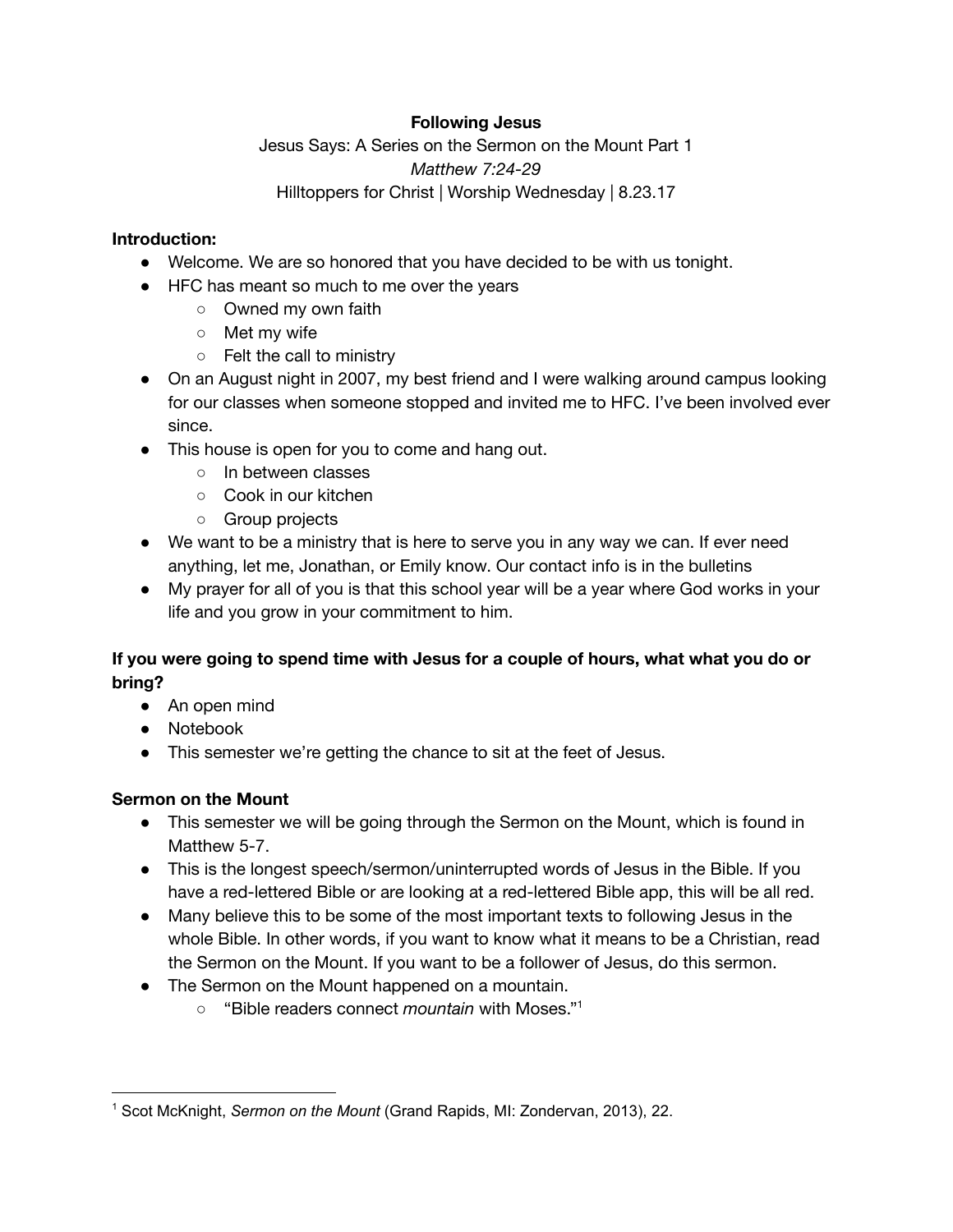## **Following Jesus**

Jesus Says: A Series on the Sermon on the Mount Part 1 *Matthew 7:24-29* Hilltoppers for Christ | Worship Wednesday | 8.23.17

#### **Introduction:**

- Welcome. We are so honored that you have decided to be with us tonight.
- HFC has meant so much to me over the years
	- Owned my own faith
	- Met my wife
	- Felt the call to ministry
- On an August night in 2007, my best friend and I were walking around campus looking for our classes when someone stopped and invited me to HFC. I've been involved ever since.
- This house is open for you to come and hang out.
	- In between classes
	- Cook in our kitchen
	- Group projects
- We want to be a ministry that is here to serve you in any way we can. If ever need anything, let me, Jonathan, or Emily know. Our contact info is in the bulletins
- My prayer for all of you is that this school year will be a year where God works in your life and you grow in your commitment to him.

# **If you were going to spend time with Jesus for a couple of hours, what what you do or bring?**

- An open mind
- Notebook
- This semester we're getting the chance to sit at the feet of Jesus.

#### **Sermon on the Mount**

- This semester we will be going through the Sermon on the Mount, which is found in Matthew 5-7.
- This is the longest speech/sermon/uninterrupted words of Jesus in the Bible. If you have a red-lettered Bible or are looking at a red-lettered Bible app, this will be all red.
- Many believe this to be some of the most important texts to following Jesus in the whole Bible. In other words, if you want to know what it means to be a Christian, read the Sermon on the Mount. If you want to be a follower of Jesus, do this sermon.
- The Sermon on the Mount happened on a mountain.
	- o "Bible readers connect *mountain* with Moses."<sup>1</sup>

<sup>1</sup> Scot McKnight, *Sermon on the Mount* (Grand Rapids, MI: Zondervan, 2013), 22.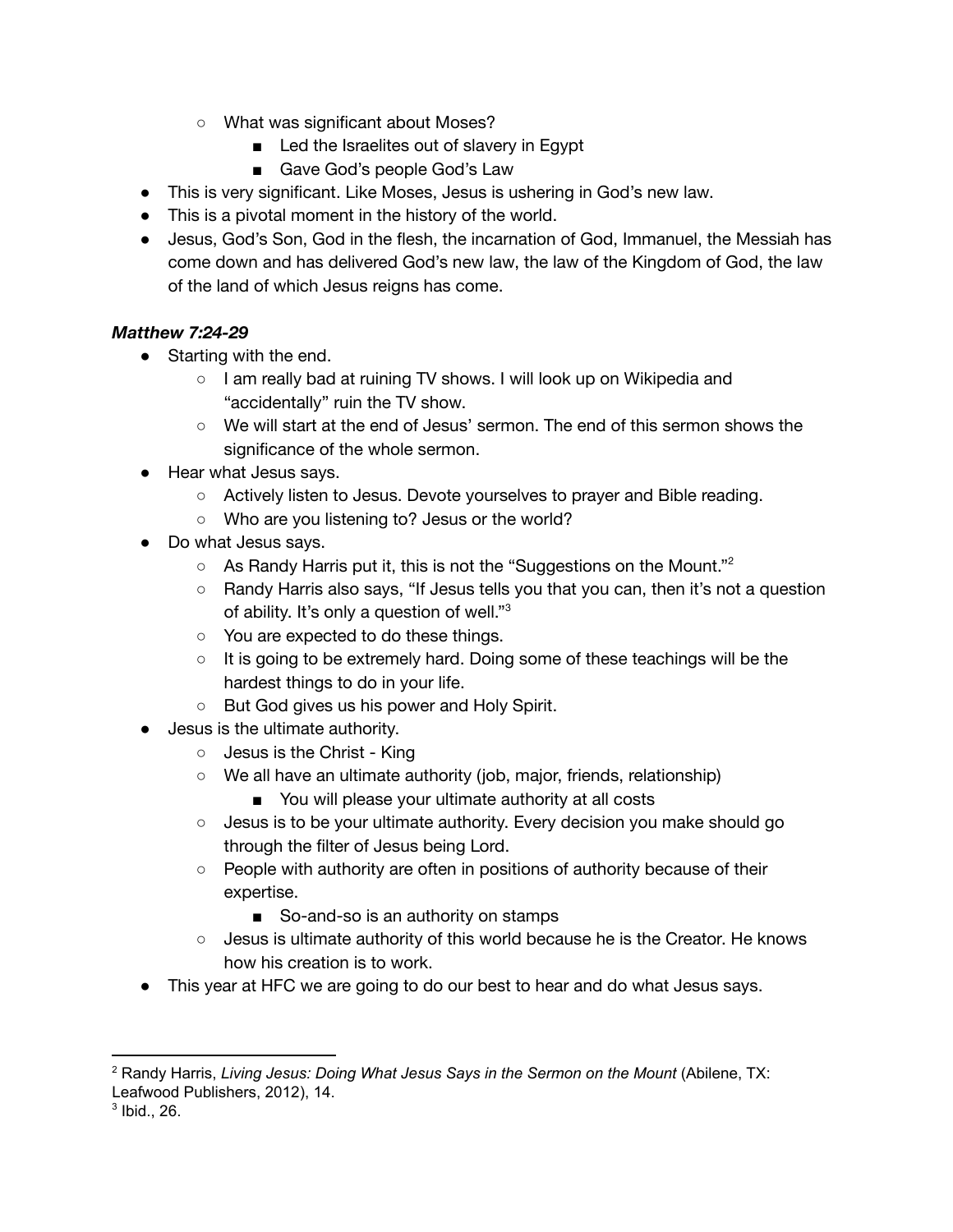- What was significant about Moses?
	- Led the Israelites out of slavery in Egypt
	- Gave God's people God's Law
- This is very significant. Like Moses, Jesus is ushering in God's new law.
- This is a pivotal moment in the history of the world.
- Jesus, God's Son, God in the flesh, the incarnation of God, Immanuel, the Messiah has come down and has delivered God's new law, the law of the Kingdom of God, the law of the land of which Jesus reigns has come.

## *Matthew 7:24-29*

- Starting with the end.
	- I am really bad at ruining TV shows. I will look up on Wikipedia and "accidentally" ruin the TV show.
	- We will start at the end of Jesus' sermon. The end of this sermon shows the significance of the whole sermon.
- Hear what Jesus says.
	- Actively listen to Jesus. Devote yourselves to prayer and Bible reading.
	- o Who are you listening to? Jesus or the world?
- Do what Jesus says.
	- $\circ$  As Randy Harris put it, this is not the "Suggestions on the Mount."<sup>2</sup>
	- Randy Harris also says, "If Jesus tells you that you can, then it's not a question of ability. It's only a question of well."<sup>3</sup>
	- You are expected to do these things.
	- It is going to be extremely hard. Doing some of these teachings will be the hardest things to do in your life.
	- But God gives us his power and Holy Spirit.
- Jesus is the ultimate authority.
	- Jesus is the Christ King
	- We all have an ultimate authority (job, major, friends, relationship)
		- You will please your ultimate authority at all costs
	- Jesus is to be your ultimate authority. Every decision you make should go through the filter of Jesus being Lord.
	- People with authority are often in positions of authority because of their expertise.
		- So-and-so is an authority on stamps
	- Jesus is ultimate authority of this world because he is the Creator. He knows how his creation is to work.
- This year at HFC we are going to do our best to hear and do what Jesus says.

<sup>2</sup> Randy Harris, *Living Jesus: Doing What Jesus Says in the Sermon on the Mount* (Abilene, TX: Leafwood Publishers, 2012), 14.

 $3$  Ibid., 26.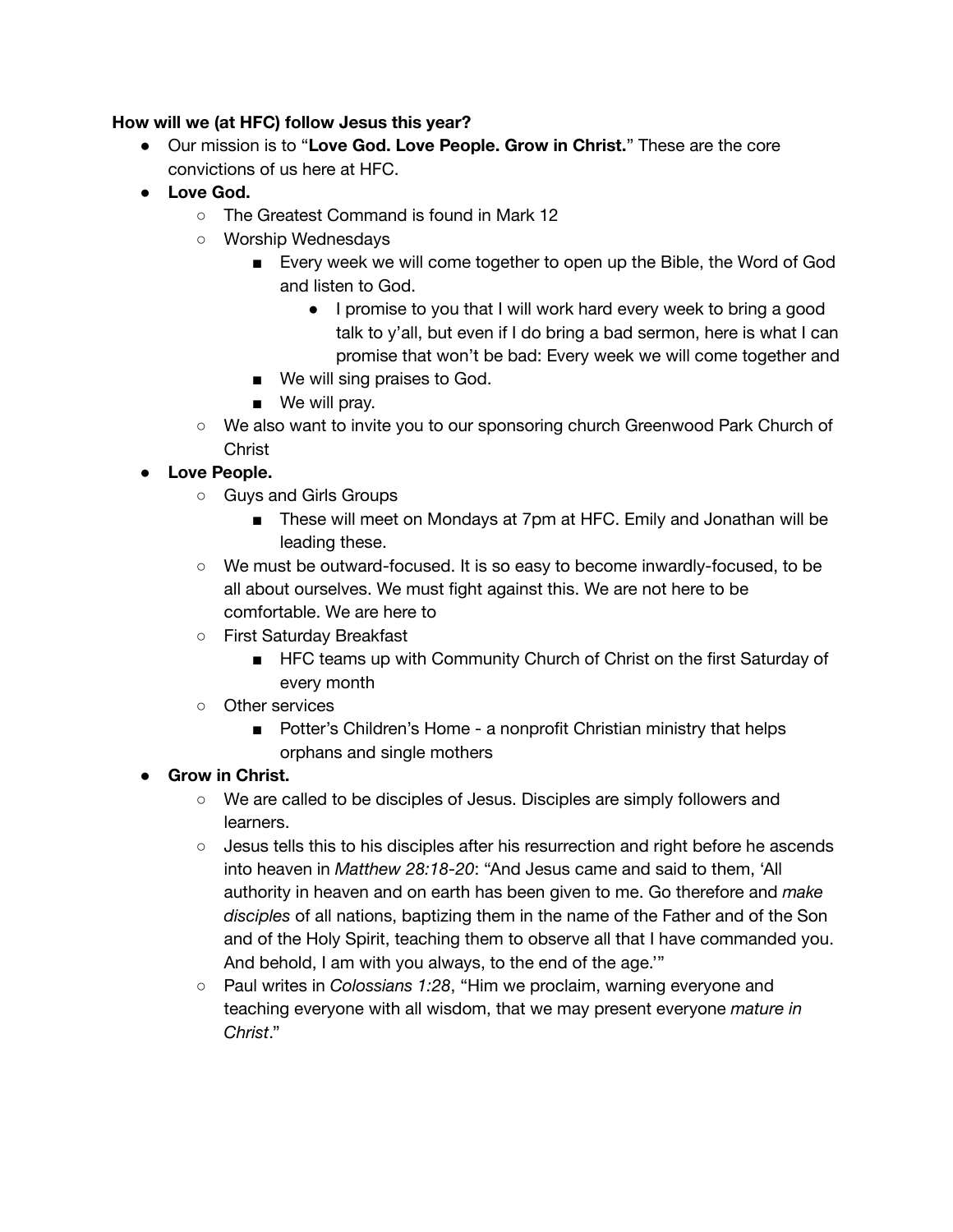## **How will we (at HFC) follow Jesus this year?**

- Our mission is to "**Love God. Love People. Grow in Christ.**" These are the core convictions of us here at HFC.
- **● Love God.**
	- The Greatest Command is found in Mark 12
	- Worship Wednesdays
		- Every week we will come together to open up the Bible, the Word of God and listen to God.
			- I promise to you that I will work hard every week to bring a good talk to y'all, but even if I do bring a bad sermon, here is what I can promise that won't be bad: Every week we will come together and
		- We will sing praises to God.
		- We will pray.
	- We also want to invite you to our sponsoring church Greenwood Park Church of **Christ**

# **● Love People.**

- Guys and Girls Groups
	- These will meet on Mondays at 7pm at HFC. Emily and Jonathan will be leading these.
- We must be outward-focused. It is so easy to become inwardly-focused, to be all about ourselves. We must fight against this. We are not here to be comfortable. We are here to
- First Saturday Breakfast
	- HFC teams up with Community Church of Christ on the first Saturday of every month
- Other services
	- Potter's Children's Home a nonprofit Christian ministry that helps orphans and single mothers

## **● Grow in Christ.**

- We are called to be disciples of Jesus. Disciples are simply followers and learners.
- Jesus tells this to his disciples after his resurrection and right before he ascends into heaven in *Matthew 28:18-20*: "And Jesus came and said to them, 'All authority in heaven and on earth has been given to me. Go therefore and *make disciples* of all nations, baptizing them in the name of the Father and of the Son and of the Holy Spirit, teaching them to observe all that I have commanded you. And behold, I am with you always, to the end of the age.'"
- Paul writes in *Colossians 1:28*, "Him we proclaim, warning everyone and teaching everyone with all wisdom, that we may present everyone *mature in Christ*."